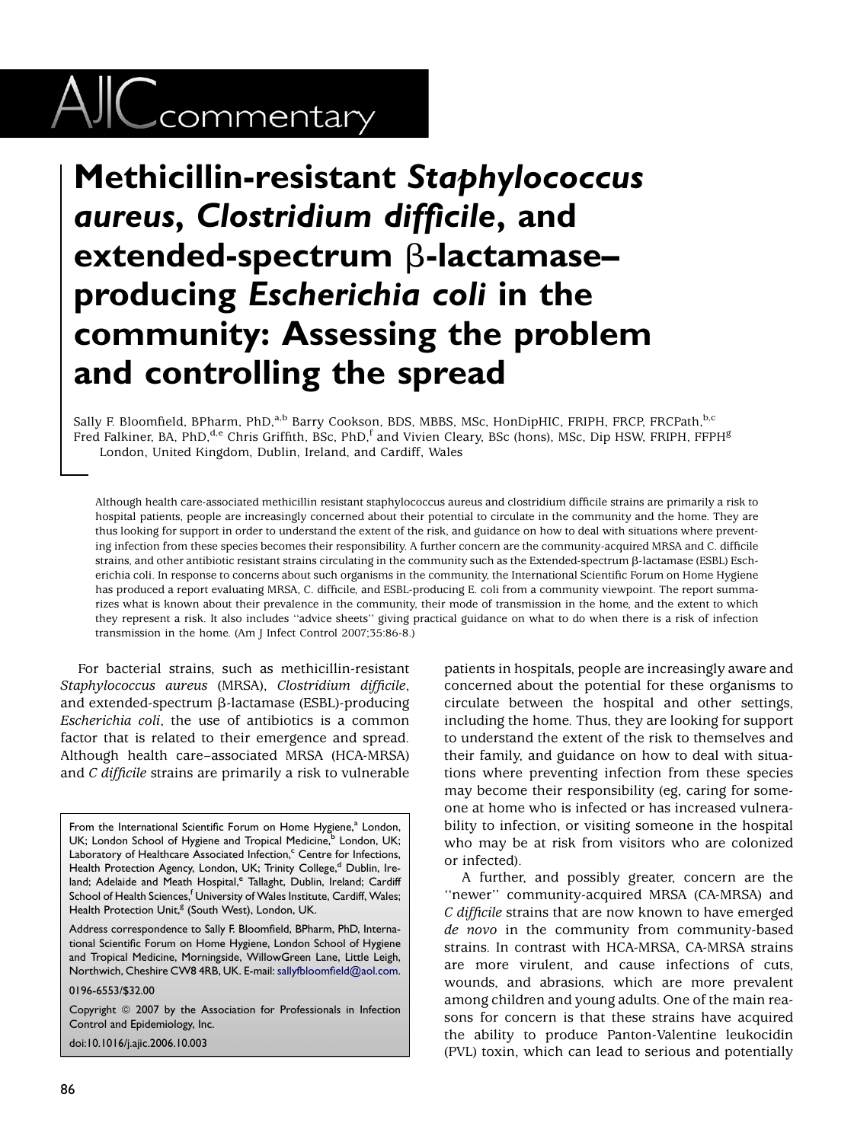## $\text{AIC}$ commentary

## Methicillin-resistant Staphylococcus aureus, Clostridium difficile, and extended-spectrum  $\beta$ -lactamaseproducing Escherichia coli in the community: Assessing the problem and controlling the spread

Sally F. Bloomfield, BPharm, PhD,<sup>a,b</sup> Barry Cookson, BDS, MBBS, MSc, HonDipHIC, FRIPH, FRCP, FRCPath, b,c Fred Falkiner, BA, PhD,<sup>d,e</sup> Chris Griffith, BSc, PhD,<sup>f</sup> and Vivien Cleary, BSc (hons), MSc, Dip HSW, FRIPH, FFPH<sup>g</sup> London, United Kingdom, Dublin, Ireland, and Cardiff, Wales

Although health care-associated methicillin resistant staphylococcus aureus and clostridium difficile strains are primarily a risk to hospital patients, people are increasingly concerned about their potential to circulate in the community and the home. They are thus looking for support in order to understand the extent of the risk, and guidance on how to deal with situations where preventing infection from these species becomes their responsibility. A further concern are the community-acquired MRSA and C. difficile strains, and other antibiotic resistant strains circulating in the community such as the Extended-spectrum b-lactamase (ESBL) Escherichia coli. In response to concerns about such organisms in the community, the International Scientific Forum on Home Hygiene has produced a report evaluating MRSA, C. difficile, and ESBL-producing E. coli from a community viewpoint. The report summarizes what is known about their prevalence in the community, their mode of transmission in the home, and the extent to which they represent a risk. It also includes ''advice sheets'' giving practical guidance on what to do when there is a risk of infection transmission in the home. (Am J Infect Control 2007;35:86-8.)

For bacterial strains, such as methicillin-resistant Staphylococcus aureus (MRSA), Clostridium difficile, and extended-spectrum  $\beta$ -lactamase (ESBL)-producing Escherichia coli, the use of antibiotics is a common factor that is related to their emergence and spread. Although health care–associated MRSA (HCA-MRSA) and C difficile strains are primarily a risk to vulnerable

Address correspondence to Sally F. Bloomfield, BPharm, PhD, International Scientific Forum on Home Hygiene, London School of Hygiene and Tropical Medicine, Morningside, WillowGreen Lane, Little Leigh, Northwich, Cheshire CW8 4RB, UK. E-mail: [sallyfbloomfield@aol.com.](mailto:sallyfbloomfield@aol.com)

0196-6553/\$32.00

doi:10.1016/j.ajic.2006.10.003

patients in hospitals, people are increasingly aware and concerned about the potential for these organisms to circulate between the hospital and other settings, including the home. Thus, they are looking for support to understand the extent of the risk to themselves and their family, and guidance on how to deal with situations where preventing infection from these species may become their responsibility (eg, caring for someone at home who is infected or has increased vulnerability to infection, or visiting someone in the hospital who may be at risk from visitors who are colonized or infected).

A further, and possibly greater, concern are the "newer" community-acquired MRSA (CA-MRSA) and C difficile strains that are now known to have emerged de novo in the community from community-based strains. In contrast with HCA-MRSA, CA-MRSA strains are more virulent, and cause infections of cuts, wounds, and abrasions, which are more prevalent among children and young adults. One of the main reasons for concern is that these strains have acquired the ability to produce Panton-Valentine leukocidin (PVL) toxin, which can lead to serious and potentially

From the International Scientific Forum on Home Hygiene,<sup>a</sup> London, UK; London School of Hygiene and Tropical Medicine,<sup>b</sup> London, UK; Laboratory of Healthcare Associated Infection,<sup>c</sup> Centre for Infections, Health Protection Agency, London, UK; Trinity College,<sup>d</sup> Dublin, Ireland; Adelaide and Meath Hospital,<sup>e</sup> Tallaght, Dublin, Ireland; Cardiff School of Health Sciences,<sup>f</sup> University of Wales Institute, Cardiff, Wales; Health Protection Unit,<sup>g</sup> (South West), London, UK.

Copyright © 2007 by the Association for Professionals in Infection Control and Epidemiology, Inc.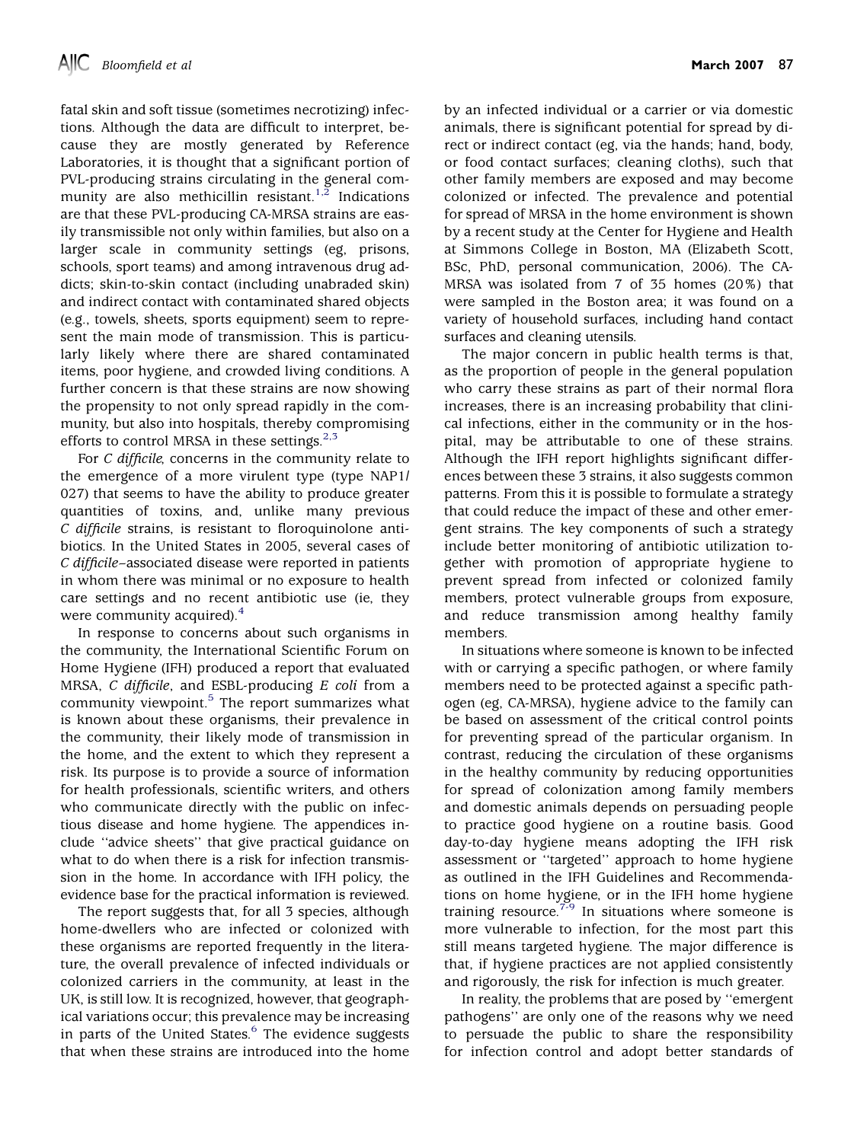fatal skin and soft tissue (sometimes necrotizing) infections. Although the data are difficult to interpret, because they are mostly generated by Reference Laboratories, it is thought that a significant portion of PVL-producing strains circulating in the general com-munity are also methicillin resistant.<sup>[1,2](#page-2-0)</sup> Indications are that these PVL-producing CA-MRSA strains are easily transmissible not only within families, but also on a larger scale in community settings (eg, prisons, schools, sport teams) and among intravenous drug addicts; skin-to-skin contact (including unabraded skin) and indirect contact with contaminated shared objects (e.g., towels, sheets, sports equipment) seem to represent the main mode of transmission. This is particularly likely where there are shared contaminated items, poor hygiene, and crowded living conditions. A further concern is that these strains are now showing the propensity to not only spread rapidly in the community, but also into hospitals, thereby compromising efforts to control MRSA in these settings.<sup>[2,3](#page-2-0)</sup>

For C difficile, concerns in the community relate to the emergence of a more virulent type (type NAP1/ 027) that seems to have the ability to produce greater quantities of toxins, and, unlike many previous C difficile strains, is resistant to floroquinolone antibiotics. In the United States in 2005, several cases of C difficile–associated disease were reported in patients in whom there was minimal or no exposure to health care settings and no recent antibiotic use (ie, they were community acquired).<sup>[4](#page-2-0)</sup>

In response to concerns about such organisms in the community, the International Scientific Forum on Home Hygiene (IFH) produced a report that evaluated MRSA, C difficile, and ESBL-producing E coli from a community viewpoint.<sup>[5](#page-2-0)</sup> The report summarizes what is known about these organisms, their prevalence in the community, their likely mode of transmission in the home, and the extent to which they represent a risk. Its purpose is to provide a source of information for health professionals, scientific writers, and others who communicate directly with the public on infectious disease and home hygiene. The appendices include ''advice sheets'' that give practical guidance on what to do when there is a risk for infection transmission in the home. In accordance with IFH policy, the evidence base for the practical information is reviewed.

The report suggests that, for all 3 species, although home-dwellers who are infected or colonized with these organisms are reported frequently in the literature, the overall prevalence of infected individuals or colonized carriers in the community, at least in the UK, is still low. It is recognized, however, that geographical variations occur; this prevalence may be increasing in parts of the United States.<sup>[6](#page-2-0)</sup> The evidence suggests that when these strains are introduced into the home by an infected individual or a carrier or via domestic animals, there is significant potential for spread by direct or indirect contact (eg, via the hands; hand, body, or food contact surfaces; cleaning cloths), such that other family members are exposed and may become colonized or infected. The prevalence and potential for spread of MRSA in the home environment is shown by a recent study at the Center for Hygiene and Health at Simmons College in Boston, MA (Elizabeth Scott, BSc, PhD, personal communication, 2006). The CA-MRSA was isolated from 7 of 35 homes (20%) that were sampled in the Boston area; it was found on a variety of household surfaces, including hand contact surfaces and cleaning utensils.

The major concern in public health terms is that, as the proportion of people in the general population who carry these strains as part of their normal flora increases, there is an increasing probability that clinical infections, either in the community or in the hospital, may be attributable to one of these strains. Although the IFH report highlights significant differences between these 3 strains, it also suggests common patterns. From this it is possible to formulate a strategy that could reduce the impact of these and other emergent strains. The key components of such a strategy include better monitoring of antibiotic utilization together with promotion of appropriate hygiene to prevent spread from infected or colonized family members, protect vulnerable groups from exposure, and reduce transmission among healthy family members.

In situations where someone is known to be infected with or carrying a specific pathogen, or where family members need to be protected against a specific pathogen (eg, CA-MRSA), hygiene advice to the family can be based on assessment of the critical control points for preventing spread of the particular organism. In contrast, reducing the circulation of these organisms in the healthy community by reducing opportunities for spread of colonization among family members and domestic animals depends on persuading people to practice good hygiene on a routine basis. Good day-to-day hygiene means adopting the IFH risk assessment or ''targeted'' approach to home hygiene as outlined in the IFH Guidelines and Recommendations on home hygiene, or in the IFH home hygiene training resource. $7-9$  In situations where someone is more vulnerable to infection, for the most part this still means targeted hygiene. The major difference is that, if hygiene practices are not applied consistently and rigorously, the risk for infection is much greater.

In reality, the problems that are posed by ''emergent pathogens'' are only one of the reasons why we need to persuade the public to share the responsibility for infection control and adopt better standards of